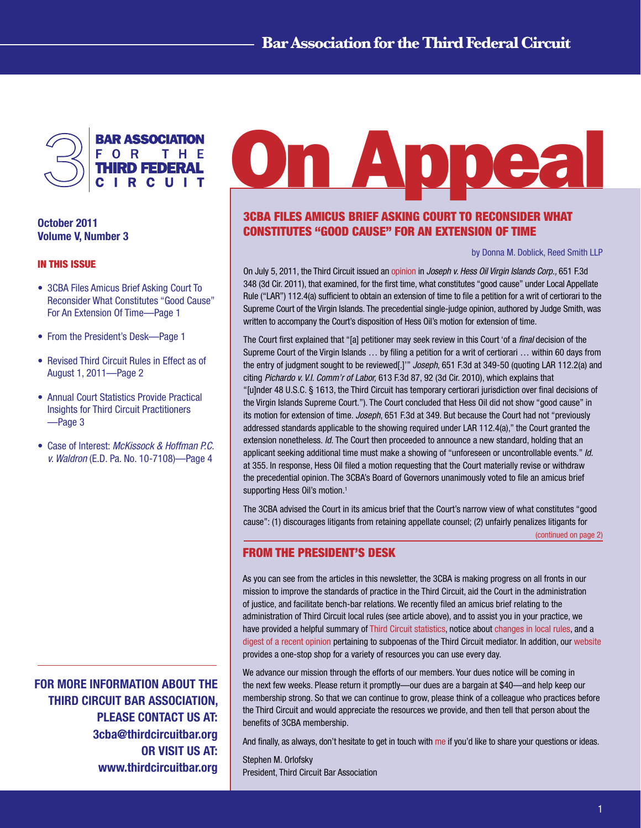

# October 2011 Volume V, Number 3

#### In This Issue

- 3CBA Files Amicus Brief Asking Court To Reconsider What Constitutes "Good Cause" For An Extension Of Time—Page 1
- From the President's Desk—Page 1
- Revised Third Circuit Rules in Effect as of August 1, 2011—Page 2
- Annual Court Statistics Provide Practical Insights for Third Circuit Practitioners —Page 3
- Case of Interest: *McKissock & Hoffman P.C. v. Waldron* (E.D. Pa. No. 10-7108)—Page 4

FOR MORE INFORMATION ABOUT THE THIRD CIRCUIT BAR ASSOCIATION, PLEASE CONTACT US AT: 3cba@thirdcircuitbar.org OR VISIT US AT: www.thirdcircuitbar.org

# **On Appea**

# 3CBA Files Amicus Brief Asking Court To Reconsider What Constitutes "Good Cause" For An Extension Of Time

#### by Donna M. Doblick, Reed Smith LLP

On July 5, 2011, the Third Circuit issued an [opinion](http://vls.law.villanova.edu/locator/3d/July2011/118026p.pdf) in *Joseph v. Hess Oil Virgin Islands Corp.,* 651 F.3d 348 (3d Cir. 2011), that examined, for the first time, what constitutes "good cause" under Local Appellate Rule ("LAR") 112.4(a) sufficient to obtain an extension of time to file a petition for a writ of certiorari to the Supreme Court of the Virgin Islands. The precedential single-judge opinion, authored by Judge Smith, was written to accompany the Court's disposition of Hess Oil's motion for extension of time.

The Court first explained that "[a] petitioner may seek review in this Court 'of a *final* decision of the Supreme Court of the Virgin Islands … by filing a petition for a writ of certiorari … within 60 days from the entry of judgment sought to be reviewed[.]'" *Joseph*, 651 F.3d at 349-50 (quoting LAR 112.2(a) and citing *Pichardo v. V.I. Comm'r of Labor,* 613 F.3d 87, 92 (3d Cir. 2010), which explains that "[u]nder 48 U.S.C. § 1613, the Third Circuit has temporary certiorari jurisdiction over final decisions of the Virgin Islands Supreme Court."). The Court concluded that Hess Oil did not show "good cause" in its motion for extension of time. *Joseph*, 651 F.3d at 349. But because the Court had not "previously addressed standards applicable to the showing required under LAR 112.4(a)," the Court granted the extension nonetheless. *Id.* The Court then proceeded to announce a new standard, holding that an applicant seeking additional time must make a showing of "unforeseen or uncontrollable events." *Id.*  at 355. In response, Hess Oil filed a motion requesting that the Court materially revise or withdraw the precedential opinion. The 3CBA's Board of Governors unanimously voted to file an amicus brief supporting Hess Oil's motion.<sup>1</sup>

The 3CBA advised the Court in its amicus brief that the Court's narrow view of what constitutes "good cause": (1) discourages litigants from retaining appellate counsel; (2) unfairly penalizes litigants for

[\(continued on page 2\)](#page-3-0)

## From the President's Desk

As you can see from the articles in this newsletter, the 3CBA is making progress on all fronts in our mission to improve the standards of practice in the Third Circuit, aid the Court in the administration of justice, and facilitate bench-bar relations. We recently filed an amicus brief relating to the administration of Third Circuit local rules (see article above), and to assist you in your practice, we have provided a helpful summary of [Third Circuit statistics,](#page-2-0) notice about [changes in local rules,](#page-1-0) and a [digest of a recent opinion](#page-3-0) pertaining to subpoenas of the Third Circuit mediator. In addition, our [website](http://www.thirdcircuitbar.org/) provides a one-stop shop for a variety of resources you can use every day.

We advance our mission through the efforts of our members. Your dues notice will be coming in the next few weeks. Please return it promptly—our dues are a bargain at \$40—and help keep our membership strong. So that we can continue to grow, please think of a colleague who practices before the Third Circuit and would appreciate the resources we provide, and then tell that person about the benefits of 3CBA membership.

And finally, as always, don't hesitate to get in touch with [me](http://www.thirdcircuitbar.org/board_of_governors.html) if you'd like to share your questions or ideas.

Stephen M. Orlofsky President, Third Circuit Bar Association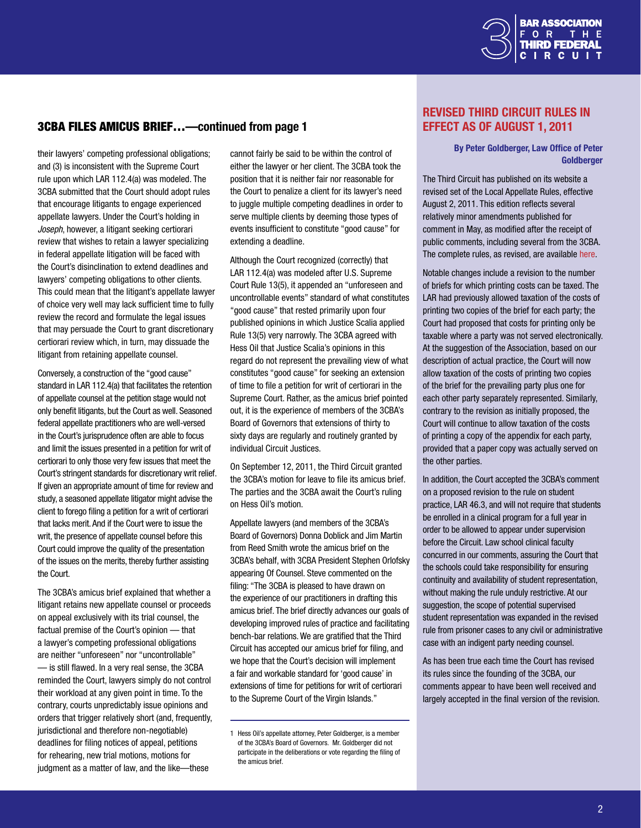

# <span id="page-1-0"></span>3CBA Files Amicus Brief…—continued from page 1

their lawyers' competing professional obligations; and (3) is inconsistent with the Supreme Court rule upon which LAR 112.4(a) was modeled. The 3CBA submitted that the Court should adopt rules that encourage litigants to engage experienced appellate lawyers. Under the Court's holding in *Joseph*, however, a litigant seeking certiorari review that wishes to retain a lawyer specializing in federal appellate litigation will be faced with the Court's disinclination to extend deadlines and lawyers' competing obligations to other clients. This could mean that the litigant's appellate lawyer of choice very well may lack sufficient time to fully review the record and formulate the legal issues that may persuade the Court to grant discretionary certiorari review which, in turn, may dissuade the litigant from retaining appellate counsel.

Conversely, a construction of the "good cause" standard in LAR 112.4(a) that facilitates the retention of appellate counsel at the petition stage would not only benefit litigants, but the Court as well. Seasoned federal appellate practitioners who are well-versed in the Court's jurisprudence often are able to focus and limit the issues presented in a petition for writ of certiorari to only those very few issues that meet the Court's stringent standards for discretionary writ relief. If given an appropriate amount of time for review and study, a seasoned appellate litigator might advise the client to forego filing a petition for a writ of certiorari that lacks merit. And if the Court were to issue the writ, the presence of appellate counsel before this Court could improve the quality of the presentation of the issues on the merits, thereby further assisting the Court.

The 3CBA's amicus brief explained that whether a litigant retains new appellate counsel or proceeds on appeal exclusively with its trial counsel, the factual premise of the Court's opinion — that a lawyer's competing professional obligations are neither "unforeseen" nor "uncontrollable" — is still flawed. In a very real sense, the 3CBA reminded the Court, lawyers simply do not control their workload at any given point in time. To the contrary, courts unpredictably issue opinions and orders that trigger relatively short (and, frequently, jurisdictional and therefore non-negotiable) deadlines for filing notices of appeal, petitions for rehearing, new trial motions, motions for judgment as a matter of law, and the like—these

cannot fairly be said to be within the control of either the lawyer or her client. The 3CBA took the position that it is neither fair nor reasonable for the Court to penalize a client for its lawyer's need to juggle multiple competing deadlines in order to serve multiple clients by deeming those types of events insufficient to constitute "good cause" for extending a deadline.

Although the Court recognized (correctly) that LAR 112.4(a) was modeled after U.S. Supreme Court Rule 13(5), it appended an "unforeseen and uncontrollable events" standard of what constitutes "good cause" that rested primarily upon four published opinions in which Justice Scalia applied Rule 13(5) very narrowly. The 3CBA agreed with Hess Oil that Justice Scalia's opinions in this regard do not represent the prevailing view of what constitutes "good cause" for seeking an extension of time to file a petition for writ of certiorari in the Supreme Court. Rather, as the amicus brief pointed out, it is the experience of members of the 3CBA's Board of Governors that extensions of thirty to sixty days are regularly and routinely granted by individual Circuit Justices.

On September 12, 2011, the Third Circuit granted the 3CBA's motion for leave to file its amicus brief. The parties and the 3CBA await the Court's ruling on Hess Oil's motion.

Appellate lawyers (and members of the 3CBA's Board of Governors) Donna Doblick and Jim Martin from Reed Smith wrote the amicus brief on the 3CBA's behalf, with 3CBA President Stephen Orlofsky appearing Of Counsel. Steve commented on the filing: "The 3CBA is pleased to have drawn on the experience of our practitioners in drafting this amicus brief. The brief directly advances our goals of developing improved rules of practice and facilitating bench-bar relations. We are gratified that the Third Circuit has accepted our amicus brief for filing, and we hope that the Court's decision will implement a fair and workable standard for 'good cause' in extensions of time for petitions for writ of certiorari to the Supreme Court of the Virgin Islands."

# Revised Third Circuit Rules in Effect as of August 1, 2011

#### By Peter Goldberger, Law Office of Peter **Goldberger**

The Third Circuit has published on its website a revised set of the Local Appellate Rules, effective August 2, 2011. This edition reflects several relatively minor amendments published for comment in May, as modified after the receipt of public comments, including several from the 3CBA. The complete rules, as revised, are available [here.](http://www.ca3.uscourts.gov/2011_LAR_Final.pdf)

Notable changes include a revision to the number of briefs for which printing costs can be taxed. The LAR had previously allowed taxation of the costs of printing two copies of the brief for each party; the Court had proposed that costs for printing only be taxable where a party was not served electronically. At the suggestion of the Association, based on our description of actual practice, the Court will now allow taxation of the costs of printing two copies of the brief for the prevailing party plus one for each other party separately represented. Similarly, contrary to the revision as initially proposed, the Court will continue to allow taxation of the costs of printing a copy of the appendix for each party, provided that a paper copy was actually served on the other parties.

In addition, the Court accepted the 3CBA's comment on a proposed revision to the rule on student practice, LAR 46.3, and will not require that students be enrolled in a clinical program for a full year in order to be allowed to appear under supervision before the Circuit. Law school clinical faculty concurred in our comments, assuring the Court that the schools could take responsibility for ensuring continuity and availability of student representation, without making the rule unduly restrictive. At our suggestion, the scope of potential supervised student representation was expanded in the revised rule from prisoner cases to any civil or administrative case with an indigent party needing counsel.

As has been true each time the Court has revised its rules since the founding of the 3CBA, our comments appear to have been well received and largely accepted in the final version of the revision.

<sup>1</sup> Hess Oil's appellate attorney, Peter Goldberger, is a member of the 3CBA's Board of Governors. Mr. Goldberger did not participate in the deliberations or vote regarding the filing of the amicus brief.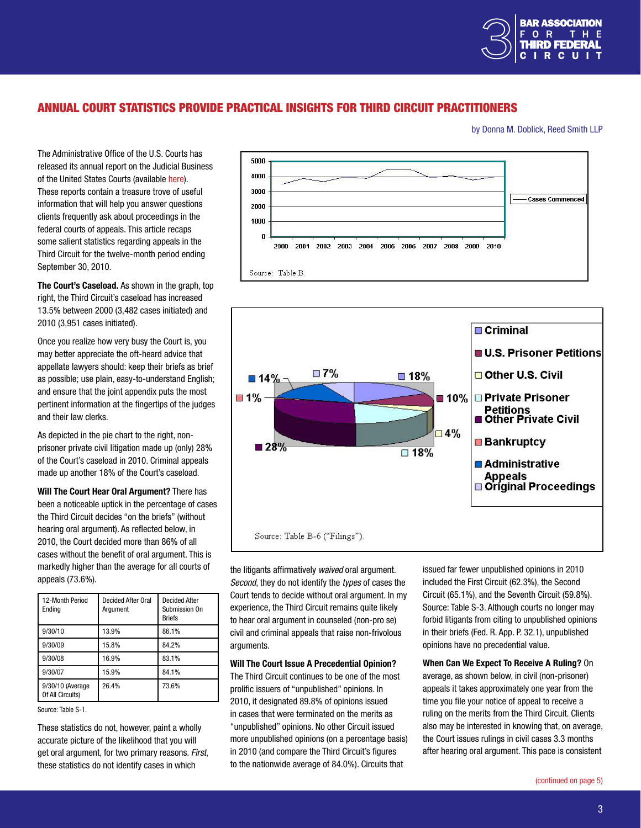

# <span id="page-2-0"></span>Annual Court Statistics Provide Practical Insights for Third Circuit Practitioners

by Donna M. Doblick, Reed Smith LLP

The Administrative Office of the U.S. Courts has released its annual report on the Judicial Business of the United States Courts (available [here\)](http://www.uscourts.gov/Statistics/JudicialBusiness/JudicialBusiness2010.aspx). These reports contain a treasure trove of useful information that will help you answer questions clients frequently ask about proceedings in the federal courts of appeals. This article recaps some salient statistics regarding appeals in the Third Circuit for the twelve-month period ending September 30, 2010.

The Court's Caseload. As shown in the graph, top right, the Third Circuit's caseload has increased 13.5% between 2000 (3,482 cases initiated) and 2010 (3,951 cases initiated).

Once you realize how very busy the Court is, you may better appreciate the oft-heard advice that appellate lawyers should: keep their briefs as brief as possible; use plain, easy-to-understand English; and ensure that the joint appendix puts the most pertinent information at the fingertips of the judges and their law clerks.

As depicted in the pie chart to the right, nonprisoner private civil litigation made up (only) 28% of the Court's caseload in 2010. Criminal appeals made up another 18% of the Court's caseload.

Will The Court Hear Oral Argument? There has been a noticeable uptick in the percentage of cases the Third Circuit decides "on the briefs" (without hearing oral argument). As reflected below, in 2010, the Court decided more than 86% of all cases without the benefit of oral argument. This is markedly higher than the average for all courts of appeals (73.6%).

| 12-Month Period<br>Endina            | <b>Decided After Oral</b><br>Argument | <b>Decided After</b><br>Submission On<br><b>Briefs</b> |
|--------------------------------------|---------------------------------------|--------------------------------------------------------|
| 9/30/10                              | 13.9%                                 | 86.1%                                                  |
| 9/30/09                              | 15.8%                                 | 84.2%                                                  |
| 9/30/08                              | 16.9%                                 | 83.1%                                                  |
| 9/30/07                              | 15.9%                                 | 84.1%                                                  |
| 9/30/10 (Average<br>Of All Circuits) | 26.4%                                 | 73.6%                                                  |

Source: Table S-1.

These statistics do not, however, paint a wholly accurate picture of the likelihood that you will get oral argument, for two primary reasons. *First*, these statistics do not identify cases in which





the litigants affirmatively *waived* oral argument. *Second*, they do not identify the *types* of cases the Court tends to decide without oral argument. In my experience, the Third Circuit remains quite likely to hear oral argument in counseled (non-pro se) civil and criminal appeals that raise non-frivolous arguments.

Will The Court Issue A Precedential Opinion?

The Third Circuit continues to be one of the most prolific issuers of "unpublished" opinions. In 2010, it designated 89.8% of opinions issued in cases that were terminated on the merits as "unpublished" opinions. No other Circuit issued more unpublished opinions (on a percentage basis) in 2010 (and compare the Third Circuit's figures to the nationwide average of 84.0%). Circuits that

issued far fewer unpublished opinions in 2010 included the First Circuit (62.3%), the Second Circuit (65.1%), and the Seventh Circuit (59.8%). Source: Table S-3. Although courts no longer may forbid litigants from citing to unpublished opinions in their briefs (Fed. R. App. P. 32.1), unpublished opinions have no precedential value.

When Can We Expect To Receive A Ruling? On average, as shown below, in civil (non-prisoner) appeals it takes approximately one year from the time you file your notice of appeal to receive a ruling on the merits from the Third Circuit. Clients also may be interested in knowing that, on average, the Court issues rulings in civil cases 3.3 months after hearing oral argument. This pace is consistent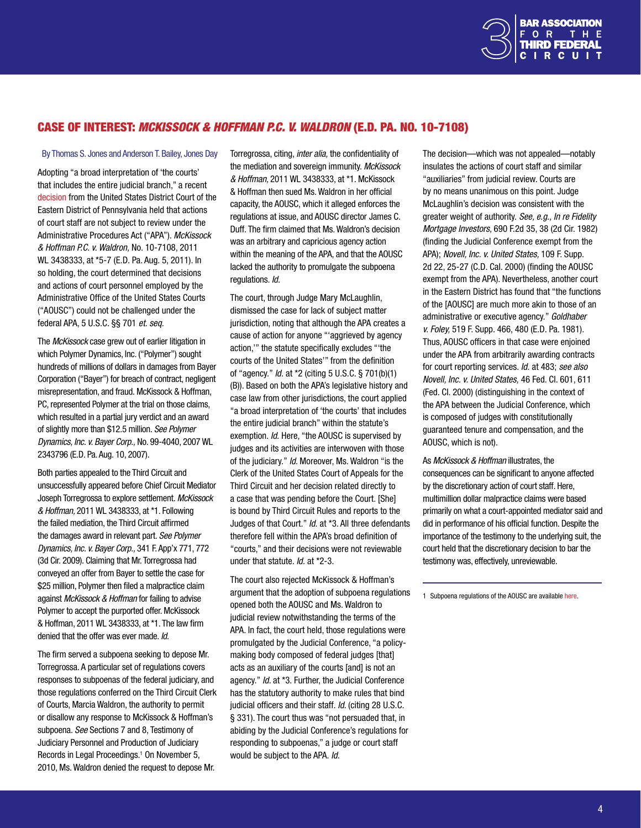

## <span id="page-3-0"></span>Case of Interest: *McKissock & Hoffman P.C. v. Waldron* (E.D. Pa. No. 10-7108)

#### By Thomas S. Jones and Anderson T. Bailey, Jones Day

Adopting "a broad interpretation of 'the courts' that includes the entire judicial branch," a recent [decision](http://www.paed.uscourts.gov/documents/opinions/11D0856P.pdf) from the United States District Court of the Eastern District of Pennsylvania held that actions of court staff are not subject to review under the Administrative Procedures Act ("APA"). *McKissock & Hoffman P.C. v. Waldron,* No. 10-7108, 2011 WL 3438333, at \*5-7 (E.D. Pa. Aug. 5, 2011). In so holding, the court determined that decisions and actions of court personnel employed by the Administrative Office of the United States Courts ("AOUSC") could not be challenged under the federal APA, 5 U.S.C. §§ 701 *et. seq.* 

The *McKissock* case grew out of earlier litigation in which Polymer Dynamics, Inc. ("Polymer") sought hundreds of millions of dollars in damages from Bayer Corporation ("Bayer") for breach of contract, negligent misrepresentation, and fraud. McKissock & Hoffman, PC, represented Polymer at the trial on those claims, which resulted in a partial jury verdict and an award of slightly more than \$12.5 million. *See Polymer Dynamics, Inc. v. Bayer Corp.,* No. 99-4040, 2007 WL 2343796 (E.D. Pa. Aug. 10, 2007).

Both parties appealed to the Third Circuit and unsuccessfully appeared before Chief Circuit Mediator Joseph Torregrossa to explore settlement. *McKissock & Hoffman,* 2011 WL 3438333, at \*1. Following the failed mediation, the Third Circuit affirmed the damages award in relevant part. *See Polymer Dynamics, Inc. v. Bayer Corp.,* 341 F. App'x 771, 772 (3d Cir. 2009). Claiming that Mr. Torregrossa had conveyed an offer from Bayer to settle the case for \$25 million, Polymer then filed a malpractice claim against *McKissock & Hoffman* for failing to advise Polymer to accept the purported offer. McKissock & Hoffman, 2011 WL 3438333, at \*1. The law firm denied that the offer was ever made. *Id.*

The firm served a subpoena seeking to depose Mr. Torregrossa. A particular set of regulations covers responses to subpoenas of the federal judiciary, and those regulations conferred on the Third Circuit Clerk of Courts, Marcia Waldron, the authority to permit or disallow any response to McKissock & Hoffman's subpoena. *See* Sections 7 and 8, Testimony of Judiciary Personnel and Production of Judiciary Records in Legal Proceedings.<sup>1</sup> On November 5, 2010, Ms. Waldron denied the request to depose Mr.

Torregrossa, citing, *inter alia,* the confidentiality of the mediation and sovereign immunity. *McKissock & Hoffman,* 2011 WL 3438333, at \*1. McKissock & Hoffman then sued Ms. Waldron in her official capacity, the AOUSC, which it alleged enforces the regulations at issue, and AOUSC director James C. Duff. The firm claimed that Ms. Waldron's decision was an arbitrary and capricious agency action within the meaning of the APA, and that the AOUSC lacked the authority to promulgate the subpoena regulations. *Id.*

The court, through Judge Mary McLaughlin, dismissed the case for lack of subject matter jurisdiction, noting that although the APA creates a cause of action for anyone "'aggrieved by agency action,'" the statute specifically excludes "'the courts of the United States'" from the definition of "agency." *Id.* at \*2 (citing 5 U.S.C. § 701(b)(1) (B)). Based on both the APA's legislative history and case law from other jurisdictions, the court applied "a broad interpretation of 'the courts' that includes the entire judicial branch" within the statute's exemption. *Id.* Here, "the AOUSC is supervised by judges and its activities are interwoven with those of the judiciary." *Id.* Moreover, Ms. Waldron "is the Clerk of the United States Court of Appeals for the Third Circuit and her decision related directly to a case that was pending before the Court. [She] is bound by Third Circuit Rules and reports to the Judges of that Court." *Id.* at \*3. All three defendants therefore fell within the APA's broad definition of "courts," and their decisions were not reviewable under that statute. *Id.* at \*2-3.

The court also rejected McKissock & Hoffman's argument that the adoption of subpoena regulations opened both the AOUSC and Ms. Waldron to judicial review notwithstanding the terms of the APA. In fact, the court held, those regulations were promulgated by the Judicial Conference, "a policymaking body composed of federal judges [that] acts as an auxiliary of the courts [and] is not an agency." *Id.* at \*3. Further, the Judicial Conference has the statutory authority to make rules that bind judicial officers and their staff. *Id.* (citing 28 U.S.C. § 331). The court thus was "not persuaded that, in abiding by the Judicial Conference's regulations for responding to subpoenas," a judge or court staff would be subject to the APA. *Id.*

The decision—which was not appealed—notably insulates the actions of court staff and similar "auxiliaries" from judicial review. Courts are by no means unanimous on this point. Judge McLaughlin's decision was consistent with the greater weight of authority. *See, e.g., In re Fidelity Mortgage Investors,* 690 F.2d 35, 38 (2d Cir. 1982) (finding the Judicial Conference exempt from the APA); *Novell, Inc. v. United States,* 109 F. Supp. 2d 22, 25-27 (C.D. Cal. 2000) (finding the AOUSC exempt from the APA). Nevertheless, another court in the Eastern District has found that "the functions of the [AOUSC] are much more akin to those of an administrative or executive agency." *Goldhaber v. Foley,* 519 F. Supp. 466, 480 (E.D. Pa. 1981). Thus, AOUSC officers in that case were enjoined under the APA from arbitrarily awarding contracts for court reporting services. *Id.* at 483; *see also Novell, Inc. v. United States,* 46 Fed. Cl. 601, 611 (Fed. Cl. 2000) (distinguishing in the context of the APA between the Judicial Conference, which is composed of judges with constitutionally guaranteed tenure and compensation, and the AOUSC, which is not).

As *McKissock & Hoffman* illustrates, the consequences can be significant to anyone affected by the discretionary action of court staff. Here, multimillion dollar malpractice claims were based primarily on what a court-appointed mediator said and did in performance of his official function. Despite the importance of the testimony to the underlying suit, the court held that the discretionary decision to bar the testimony was, effectively, unreviewable.

1 Subpoena regulations of the AOUSC are available [here](http://www.uscourts.gov/RulesAndPolicies/SubpoenaRegulations.aspx).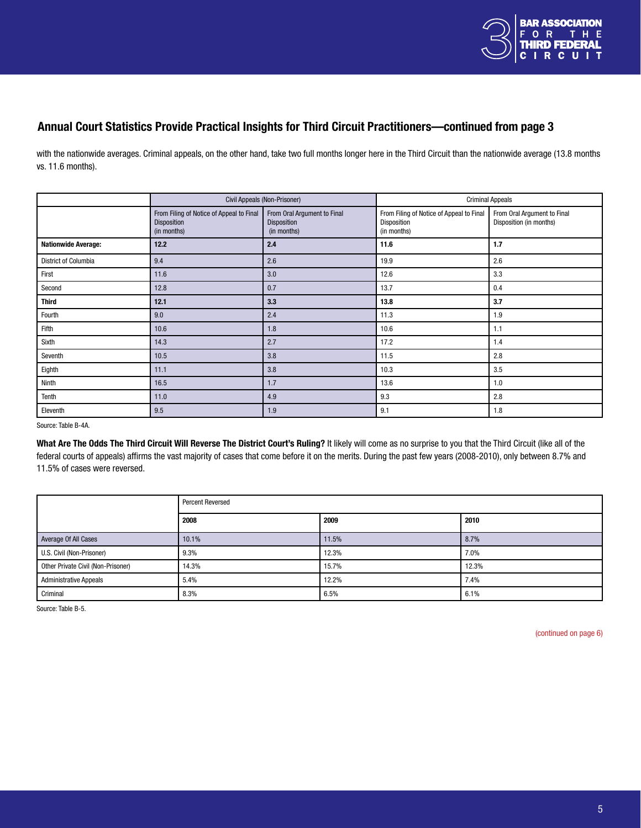

# Annual Court Statistics Provide Practical Insights for Third Circuit Practitioners—continued from page 3

with the nationwide averages. Criminal appeals, on the other hand, take two full months longer here in the Third Circuit than the nationwide average (13.8 months vs. 11.6 months).

|                            | Civil Appeals (Non-Prisoner)                                           |                                                           | <b>Criminal Appeals</b>                                                |                                                        |  |
|----------------------------|------------------------------------------------------------------------|-----------------------------------------------------------|------------------------------------------------------------------------|--------------------------------------------------------|--|
|                            | From Filing of Notice of Appeal to Final<br>Disposition<br>(in months) | From Oral Argument to Final<br>Disposition<br>(in months) | From Filing of Notice of Appeal to Final<br>Disposition<br>(in months) | From Oral Argument to Final<br>Disposition (in months) |  |
| <b>Nationwide Average:</b> | 12.2                                                                   | 2.4                                                       | 11.6                                                                   | 1.7                                                    |  |
| District of Columbia       | 9.4                                                                    | 2.6                                                       | 19.9                                                                   | 2.6                                                    |  |
| First                      | 11.6                                                                   | 3.0                                                       | 12.6                                                                   | 3.3                                                    |  |
| Second                     | 12.8                                                                   | 0.7                                                       | 13.7                                                                   | 0.4                                                    |  |
| <b>Third</b>               | 12.1                                                                   | 3.3                                                       | 13.8                                                                   | 3.7                                                    |  |
| Fourth                     | 9.0                                                                    | 2.4                                                       | 11.3                                                                   | 1.9                                                    |  |
| Fifth                      | 10.6                                                                   | 1.8                                                       | 10.6                                                                   | 1.1                                                    |  |
| Sixth                      | 14.3                                                                   | 2.7                                                       | 17.2                                                                   | 1.4                                                    |  |
| Seventh                    | 10.5                                                                   | 3.8                                                       | 11.5                                                                   | 2.8                                                    |  |
| Eighth                     | 11.1                                                                   | 3.8                                                       | 10.3                                                                   | 3.5                                                    |  |
| Ninth                      | 16.5                                                                   | 1.7                                                       | 13.6                                                                   | 1.0                                                    |  |
| Tenth                      | 11.0                                                                   | 4.9                                                       | 9.3                                                                    | 2.8                                                    |  |
| Eleventh                   | 9.5                                                                    | 1.9                                                       | 9.1                                                                    | 1.8                                                    |  |

Source: Table B-4A.

What Are The Odds The Third Circuit Will Reverse The District Court's Ruling? It likely will come as no surprise to you that the Third Circuit (like all of the federal courts of appeals) affirms the vast majority of cases that come before it on the merits. During the past few years (2008-2010), only between 8.7% and 11.5% of cases were reversed.

|                                    | <b>Percent Reversed</b> |       |       |  |
|------------------------------------|-------------------------|-------|-------|--|
|                                    | 2008                    | 2009  | 2010  |  |
| Average Of All Cases               | 10.1%                   | 11.5% | 8.7%  |  |
| U.S. Civil (Non-Prisoner)          | 9.3%                    | 12.3% | 7.0%  |  |
| Other Private Civil (Non-Prisoner) | 14.3%                   | 15.7% | 12.3% |  |
| <b>Administrative Appeals</b>      | 5.4%                    | 12.2% | 7.4%  |  |
| Criminal                           | 8.3%                    | 6.5%  | 6.1%  |  |

Source: Table B-5.

[\(continued on page 6\)](#page-5-0)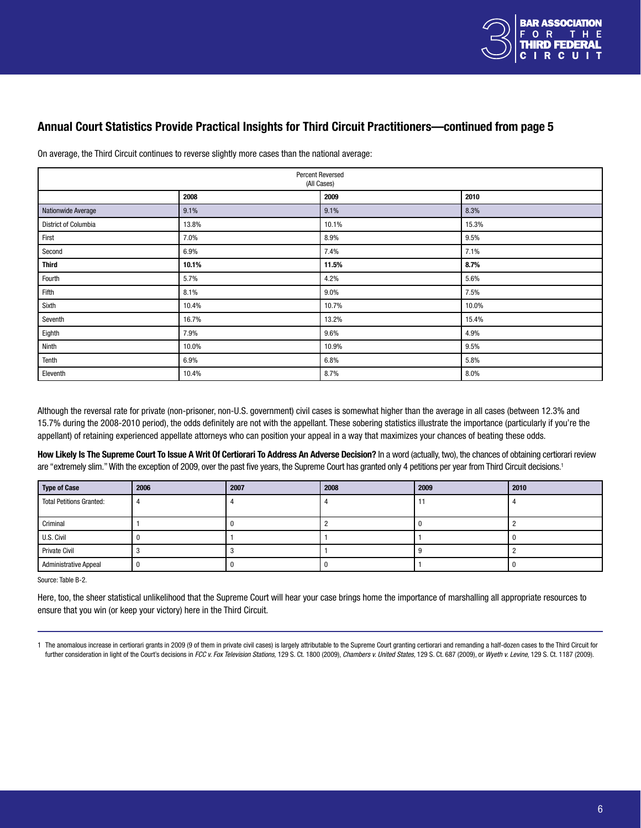

# <span id="page-5-0"></span>Annual Court Statistics Provide Practical Insights for Third Circuit Practitioners—continued from page 5

| Percent Reversed<br>(All Cases) |       |       |       |  |
|---------------------------------|-------|-------|-------|--|
|                                 | 2008  | 2009  | 2010  |  |
| Nationwide Average              | 9.1%  | 9.1%  | 8.3%  |  |
| District of Columbia            | 13.8% | 10.1% | 15.3% |  |
| First                           | 7.0%  | 8.9%  | 9.5%  |  |
| Second                          | 6.9%  | 7.4%  | 7.1%  |  |
| <b>Third</b>                    | 10.1% | 11.5% | 8.7%  |  |
| Fourth                          | 5.7%  | 4.2%  | 5.6%  |  |
| Fifth                           | 8.1%  | 9.0%  | 7.5%  |  |
| Sixth                           | 10.4% | 10.7% | 10.0% |  |
| Seventh                         | 16.7% | 13.2% | 15.4% |  |
| Eighth                          | 7.9%  | 9.6%  | 4.9%  |  |
| Ninth                           | 10.0% | 10.9% | 9.5%  |  |
| Tenth                           | 6.9%  | 6.8%  | 5.8%  |  |
| Eleventh                        | 10.4% | 8.7%  | 8.0%  |  |

On average, the Third Circuit continues to reverse slightly more cases than the national average:

Although the reversal rate for private (non-prisoner, non-U.S. government) civil cases is somewhat higher than the average in all cases (between 12.3% and 15.7% during the 2008-2010 period), the odds definitely are not with the appellant. These sobering statistics illustrate the importance (particularly if you're the appellant) of retaining experienced appellate attorneys who can position your appeal in a way that maximizes your chances of beating these odds.

How Likely Is The Supreme Court To Issue A Writ Of Certiorari To Address An Adverse Decision? In a word (actually, two), the chances of obtaining certiorari review are "extremely slim." With the exception of 2009, over the past five years, the Supreme Court has granted only 4 petitions per year from Third Circuit decisions.<sup>1</sup>

| <b>Type of Case</b>             | 2006 | 2007 | 2008 | 2009 | 2010 |
|---------------------------------|------|------|------|------|------|
| <b>Total Petitions Granted:</b> |      |      |      |      |      |
| Criminal                        |      |      |      |      |      |
| U.S. Civil                      |      |      |      |      |      |
| <b>Private Civil</b>            |      |      |      |      |      |
| <b>Administrative Appeal</b>    |      |      |      |      |      |

Source: Table B-2.

Here, too, the sheer statistical unlikelihood that the Supreme Court will hear your case brings home the importance of marshalling all appropriate resources to ensure that you win (or keep your victory) here in the Third Circuit.

<sup>1</sup> The anomalous increase in certiorari grants in 2009 (9 of them in private civil cases) is largely attributable to the Supreme Court granting certiorari and remanding a half-dozen cases to the Third Circuit for further consideration in light of the Court's decisions in FCC v. Fox Television Stations, 129 S. Ct. 1800 (2009), Chambers v. United States, 129 S. Ct. 687 (2009), or Wyeth v. Levine, 129 S. Ct. 1187 (2009).